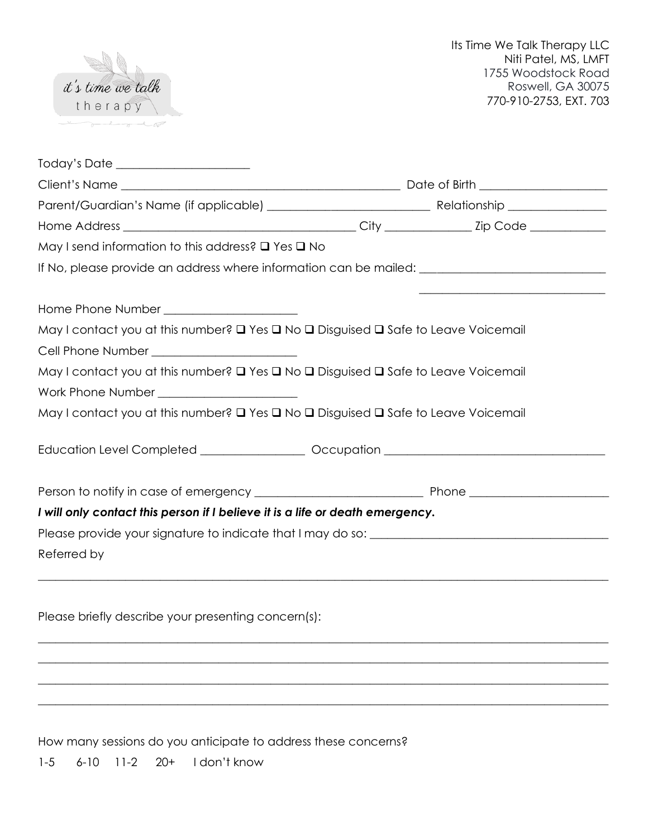

| Today's Date _____________________                                                                   |  |
|------------------------------------------------------------------------------------------------------|--|
|                                                                                                      |  |
|                                                                                                      |  |
|                                                                                                      |  |
| May I send information to this address? $\square$ Yes $\square$ No                                   |  |
| If No, please provide an address where information can be mailed: __________________________________ |  |
| Home Phone Number ______________________                                                             |  |
| May I contact you at this number? Q Yes Q No Q Disguised Q Safe to Leave Voicemail                   |  |
|                                                                                                      |  |
| May I contact you at this number? Q Yes Q No Q Disguised Q Safe to Leave Voicemail                   |  |
|                                                                                                      |  |
| May I contact you at this number? Q Yes Q No Q Disguised Q Safe to Leave Voicemail                   |  |
| Education Level Completed __________________ Occupation _________________________                    |  |
|                                                                                                      |  |
| I will only contact this person if I believe it is a life or death emergency.                        |  |
|                                                                                                      |  |
| Referred by                                                                                          |  |
| ,我们也不会有什么。""我们的人,我们也不会有什么?""我们的人,我们也不会有什么?""我们的人,我们也不会有什么?""我们的人,我们也不会有什么?""我们的人                     |  |
| Please briefly describe your presenting concern(s):                                                  |  |
|                                                                                                      |  |
|                                                                                                      |  |
|                                                                                                      |  |
|                                                                                                      |  |

How many sessions do you anticipate to address these concerns?

1-5 6-10 11-2 20+ I don't know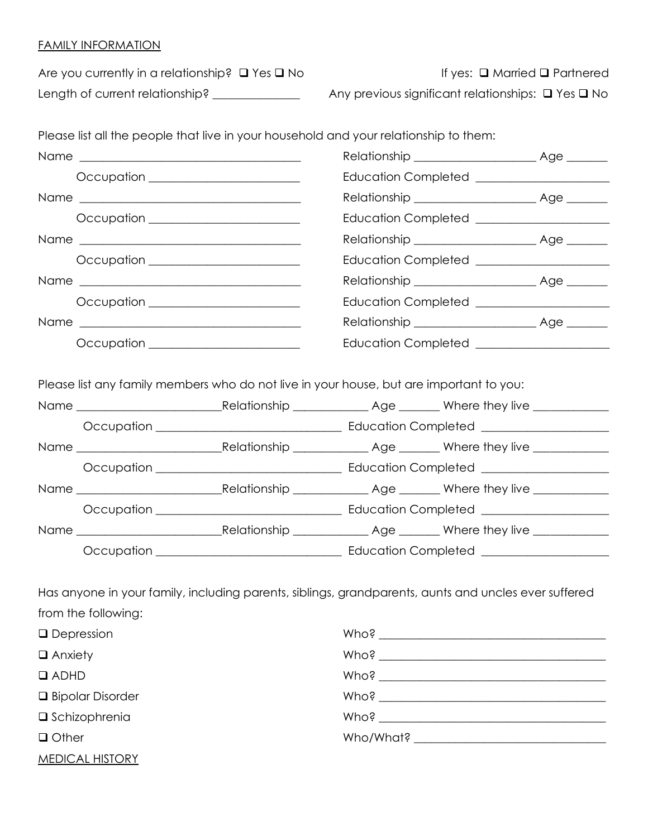# FAMILY INFORMATION

| Are you currently in a relationship? $\Box$ Yes $\Box$ No | lf y                    |
|-----------------------------------------------------------|-------------------------|
| Length of current relationship?                           | Any previous significan |

Please list all the people that live in your household and your relationship to them:

 $A$ res: □ Married □ Partnered

Length of relationships: **Q** Yes Q No

|                           | Occupation ______________________                                                                    | Education Completed ______________________ |  |
|---------------------------|------------------------------------------------------------------------------------------------------|--------------------------------------------|--|
|                           |                                                                                                      |                                            |  |
|                           | Occupation ______________________                                                                    | Education Completed ______________________ |  |
|                           |                                                                                                      |                                            |  |
|                           | Occupation ______________________                                                                    | Education Completed ______________________ |  |
|                           |                                                                                                      |                                            |  |
|                           | Occupation _______________________                                                                   | Education Completed ______________________ |  |
|                           |                                                                                                      |                                            |  |
|                           | Occupation _____________________                                                                     | Education Completed ______________________ |  |
|                           |                                                                                                      |                                            |  |
|                           | Please list any family members who do not live in your house, but are important to you:              |                                            |  |
|                           |                                                                                                      |                                            |  |
|                           |                                                                                                      |                                            |  |
|                           |                                                                                                      |                                            |  |
|                           |                                                                                                      |                                            |  |
|                           |                                                                                                      |                                            |  |
|                           |                                                                                                      |                                            |  |
|                           |                                                                                                      |                                            |  |
|                           |                                                                                                      |                                            |  |
|                           |                                                                                                      |                                            |  |
|                           | Has anyone in your family, including parents, siblings, grandparents, aunts and uncles ever suffered |                                            |  |
| from the following:       |                                                                                                      |                                            |  |
| $\Box$ Depression         |                                                                                                      |                                            |  |
| $\Box$ Anxiety            |                                                                                                      |                                            |  |
| $\Box$ ADHD               |                                                                                                      |                                            |  |
| <b>Q</b> Bipolar Disorder |                                                                                                      |                                            |  |

❑ Schizophrenia

❑ Other

|  |  | Who/What? And the control of the control of the control of the control of the control of the control of the co |  |
|--|--|----------------------------------------------------------------------------------------------------------------|--|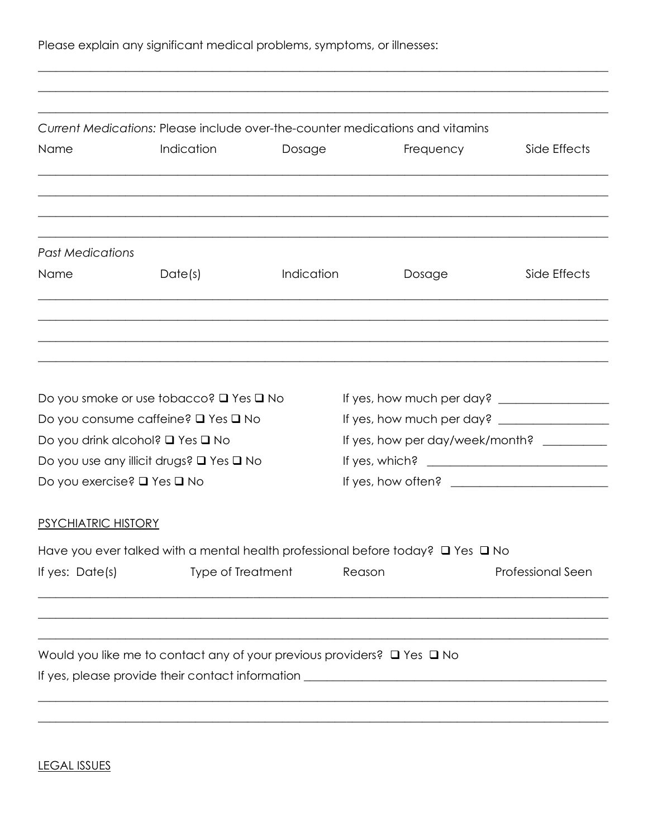|  |  |  | Please explain any significant medical problems, symptoms, or illnesses: |  |  |  |  |
|--|--|--|--------------------------------------------------------------------------|--|--|--|--|
|--|--|--|--------------------------------------------------------------------------|--|--|--|--|

|                             |                                                                                   | Current Medications: Please include over-the-counter medications and vitamins |                                            |                          |
|-----------------------------|-----------------------------------------------------------------------------------|-------------------------------------------------------------------------------|--------------------------------------------|--------------------------|
| Name                        | Indication                                                                        | Dosage                                                                        | Frequency                                  | Side Effects             |
|                             |                                                                                   |                                                                               |                                            |                          |
| <b>Past Medications</b>     |                                                                                   |                                                                               |                                            |                          |
| Name                        | Date(s)                                                                           | Indication                                                                    | Dosage                                     | Side Effects             |
|                             |                                                                                   |                                                                               |                                            |                          |
|                             |                                                                                   |                                                                               |                                            |                          |
|                             | Do you smoke or use tobacco? $\square$ Yes $\square$ No                           |                                                                               |                                            |                          |
|                             |                                                                                   |                                                                               |                                            |                          |
|                             | Do you consume caffeine? □ Yes □ No                                               |                                                                               |                                            |                          |
|                             | Do you drink alcohol? □ Yes □ No                                                  |                                                                               | If yes, how per day/week/month? __________ |                          |
|                             | Do you use any illicit drugs? $\square$ Yes $\square$ No                          |                                                                               |                                            |                          |
| Do you exercise? □ Yes □ No |                                                                                   |                                                                               | If yes, how often? $\qquad \qquad$         |                          |
| <b>PSYCHIATRIC HISTORY</b>  |                                                                                   |                                                                               |                                            |                          |
|                             | Have you ever talked with a mental health professional before today? Q Yes Q No   |                                                                               |                                            |                          |
| If yes: Date(s)             | <b>Type of Treatment</b>                                                          | Reason                                                                        |                                            | <b>Professional Seen</b> |
|                             |                                                                                   |                                                                               |                                            |                          |
|                             | Would you like me to contact any of your previous providers? $\Box$ Yes $\Box$ No |                                                                               |                                            |                          |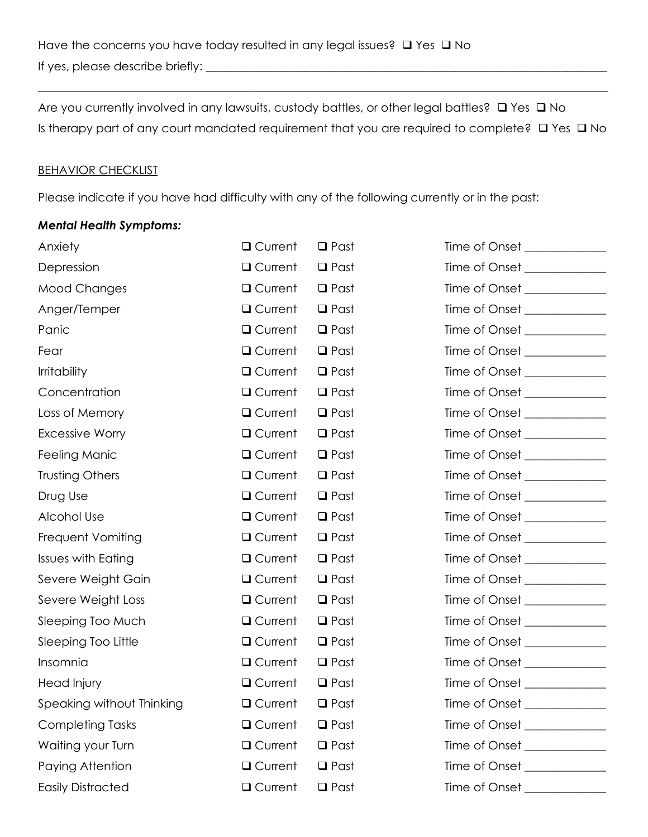Are you currently involved in any lawsuits, custody battles, or other legal battles? □ Yes □ No Is therapy part of any court mandated requirement that you are required to complete? ❑ Yes ❑ No

 $\_$  , and the set of the set of the set of the set of the set of the set of the set of the set of the set of the set of the set of the set of the set of the set of the set of the set of the set of the set of the set of th

### **BEHAVIOR CHECKLIST**

Please indicate if you have had difficulty with any of the following currently or in the past:

### *Mental Health Symptoms:*

| Anxiety                   | Q Current        | $\Box$ Past | Time of Onset _____________   |
|---------------------------|------------------|-------------|-------------------------------|
| Depression                | Q Current        | $\Box$ Past | Time of Onset ______________  |
| <b>Mood Changes</b>       | Q Current        | $\Box$ Past | Time of Onset ______________  |
| Anger/Temper              | Q Current        | $\Box$ Past | Time of Onset ______________  |
| Panic                     | Q Current        | $\Box$ Past | Time of Onset _____________   |
| Fear                      | Q Current        | $\Box$ Past | Time of Onset ______________  |
| <b>Irritability</b>       | Q Current        | $\Box$ Past | Time of Onset ______________  |
| Concentration             | Q Current        | $\Box$ Past | Time of Onset                 |
| Loss of Memory            | Q Current        | $\Box$ Past | Time of Onset _______________ |
| <b>Excessive Worry</b>    | Q Current        | $\Box$ Past | Time of Onset _____________   |
| Feeling Manic             | Q Current        | $\Box$ Past |                               |
| Trusting Others           | Q Current        | $\Box$ Past | Time of Onset ______________  |
| Drug Use                  | Q Current        | $\Box$ Past | Time of Onset ______________  |
| Alcohol Use               | Q Current        | $\Box$ Past | Time of Onset ______________  |
| Frequent Vomiting         | Q Current        | $\Box$ Past | Time of Onset _____________   |
| <b>Issues with Eating</b> | Q Current        | $\Box$ Past | Time of Onset _____________   |
| Severe Weight Gain        | Q Current        | $\Box$ Past |                               |
| Severe Weight Loss        | Q Current        | $\Box$ Past | Time of Onset ______________  |
| Sleeping Too Much         | Q Current        | $\Box$ Past | Time of Onset _____________   |
| Sleeping Too Little       | Q Current        | $\Box$ Past | Time of Onset ______________  |
| Insomnia                  | Q Current        | $\Box$ Past | Time of Onset ______________  |
| Head Injury               | Q Current        | $\Box$ Past |                               |
| Speaking without Thinking | Q Current        | $\Box$ Past | Time of Onset                 |
| <b>Completing Tasks</b>   | <b>Q</b> Current | $\Box$ Past | Time of Onset _____________   |
| Waiting your Turn         | Q Current        | $\Box$ Past | Time of Onset ______________  |
| Paying Attention          | <b>Q</b> Current | $\Box$ Past | Time of Onset _______________ |
| <b>Easily Distracted</b>  | <b>Q</b> Current | $\Box$ Past |                               |
|                           |                  |             |                               |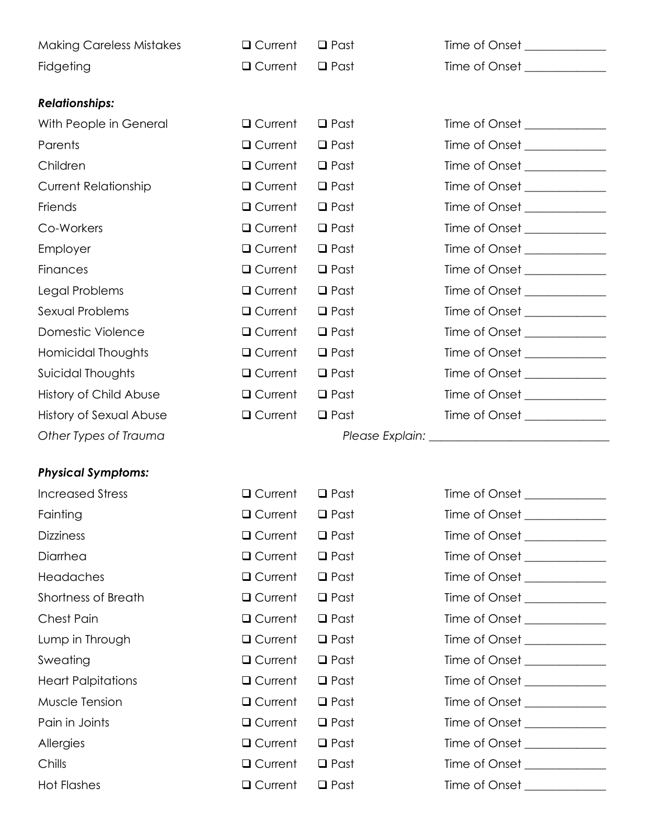| <b>Making Careless Mistakes</b> | Q Current        | $\Box$ Past | Time of Onset _____________   |
|---------------------------------|------------------|-------------|-------------------------------|
| Fidgeting                       | Q Current        | $\Box$ Past | Time of Onset _____________   |
|                                 |                  |             |                               |
| <b>Relationships:</b>           |                  |             |                               |
| With People in General          | Q Current        | $\Box$ Past | Time of Onset ______________  |
| Parents                         | Q Current        | $\Box$ Past | Time of Onset _____________   |
| Children                        | Q Current        | $\Box$ Past | Time of Onset _____________   |
| <b>Current Relationship</b>     | <b>Q</b> Current | $\Box$ Past | Time of Onset _____________   |
| Friends                         | Q Current        | $\Box$ Past | Time of Onset _____________   |
| Co-Workers                      | Q Current        | $\Box$ Past | Time of Onset ______________  |
| Employer                        | Q Current        | $\Box$ Past | Time of Onset _______________ |
| <b>Finances</b>                 | Q Current        | $\Box$ Past | Time of Onset _______________ |
| Legal Problems                  | <b>Q</b> Current | $\Box$ Past | Time of Onset _____________   |
| Sexual Problems                 | Q Current        | $\Box$ Past | Time of Onset _____________   |
| Domestic Violence               | Q Current        | $\Box$ Past | Time of Onset _____________   |
| Homicidal Thoughts              | Q Current        | $\Box$ Past | Time of Onset _____________   |
| Suicidal Thoughts               | $\Box$ Current   | $\Box$ Past | Time of Onset _____________   |
| History of Child Abuse          | Q Current        | $\Box$ Past | Time of Onset _____________   |
| History of Sexual Abuse         | Q Current        | $\Box$ Past | Time of Onset _____________   |
| Other Types of Trauma           |                  |             |                               |

## *Physical Symptoms:*

| <b>Increased Stress</b>    | <b>□</b> Current | $\Box$ Past    |
|----------------------------|------------------|----------------|
| Fainting                   | □ Current        | $\Box$ Past    |
| <b>Dizziness</b>           | <b>Q</b> Current | $\Box$ Past    |
| Diarrhea                   | Q Current        | $\Box$ Past    |
| Headaches                  | □ Current        | $\Box$ Past    |
| <b>Shortness of Breath</b> | □ Current        | $\Box$ Past    |
| <b>Chest Pain</b>          | □ Current        | $\square$ Past |
| Lump in Through            | <b>□</b> Current | $\Box$ Past    |
| Sweating                   | □ Current        | $\Box$ Past    |
| <b>Heart Palpitations</b>  | <b>□</b> Current | $\Box$ Past    |
| Muscle Tension             | □ Current        | $\Box$ Past    |
| Pain in Joints             | □ Current        | $\square$ Past |
| Allergies                  | □ Current        | $\Box$ Past    |
| Chills                     | □ Current        | $\square$ Past |
| <b>Hot Flashes</b>         | $\Box$ Current   | $\Box$ Past    |

| <b>Increased Stress</b>   | Q Current      | $\Box$ Past | Time of Onset                   |
|---------------------------|----------------|-------------|---------------------------------|
| Fainting                  | Q Current      | $\Box$ Past | Time of Onset ______________    |
| <b>Dizziness</b>          | Q Current      | $\Box$ Past | Time of Onset                   |
| Diarrhea                  | $\Box$ Current | $\Box$ Past | Time of Onset _______________   |
| Headaches                 | Q Current      | $\Box$ Past | Time of Onset                   |
| Shortness of Breath       | Q Current      | $\Box$ Past | Time of Onset ______________    |
| Chest Pain                | Q Current      | $\Box$ Past | Time of Onset _______________   |
| Lump in Through           | Q Current      | $\Box$ Past | Time of Onset ______________    |
| Sweating                  | Q Current      | $\Box$ Past | Time of Onset                   |
| <b>Heart Palpitations</b> | Q Current      | $\Box$ Past | Time of Onset                   |
| Muscle Tension            | Q Current      | $\Box$ Past |                                 |
| Pain in Joints            | Q Current      | $\Box$ Past | Time of Onset                   |
| <b>Allergies</b>          | Q Current      | $\Box$ Past |                                 |
| Chills                    | $\Box$ Current | $\Box$ Past | Time of Onset                   |
| <b>Hot Flashes</b>        | Q Current      | $\Box$ Past | Time of Onset <b>Example 20</b> |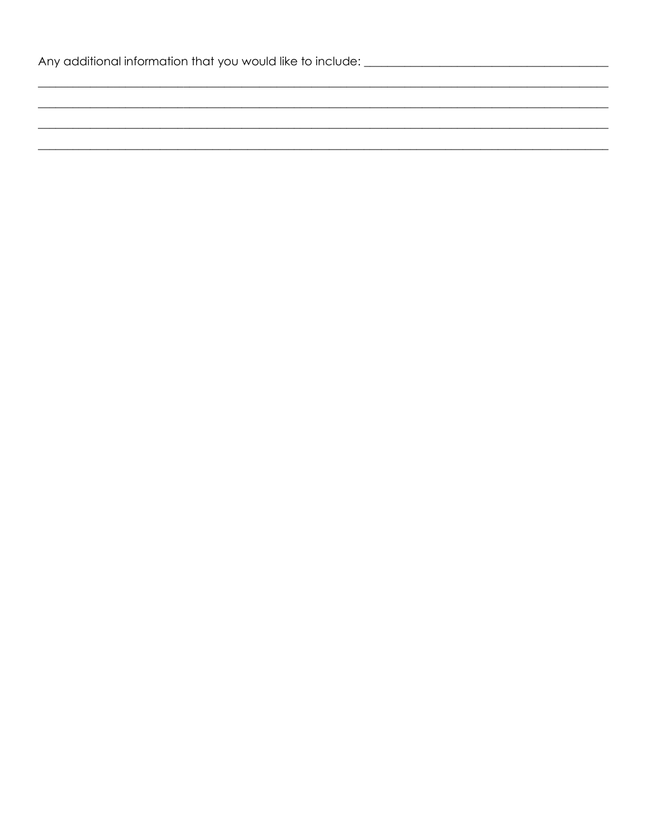| Any additional information that you would like to include: |  |
|------------------------------------------------------------|--|
|------------------------------------------------------------|--|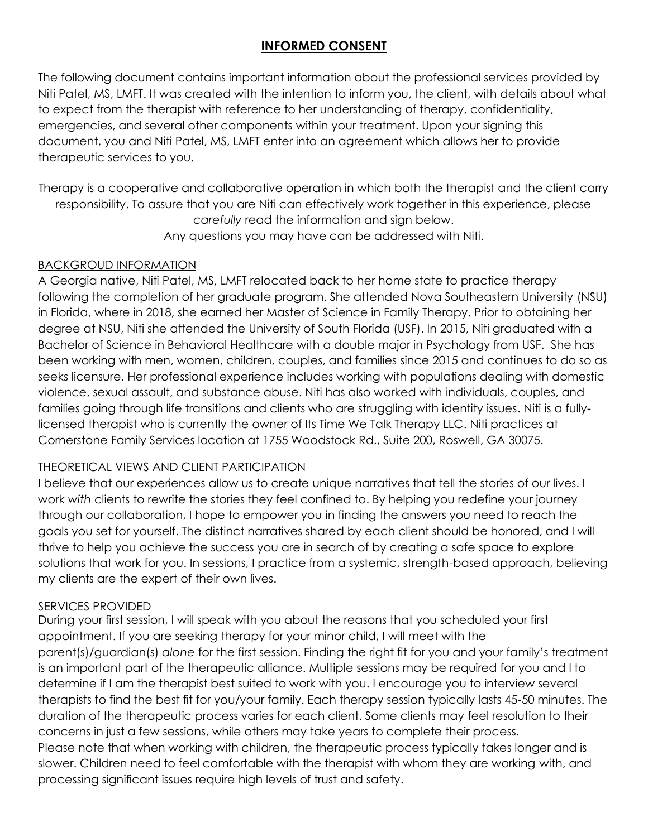# **INFORMED CONSENT**

The following document contains important information about the professional services provided by Niti Patel, MS, LMFT. It was created with the intention to inform you, the client, with details about what to expect from the therapist with reference to her understanding of therapy, confidentiality, emergencies, and several other components within your treatment. Upon your signing this document, you and Niti Patel, MS, LMFT enter into an agreement which allows her to provide therapeutic services to you.

Therapy is a cooperative and collaborative operation in which both the therapist and the client carry responsibility. To assure that you are Niti can effectively work together in this experience, please *carefully* read the information and sign below. Any questions you may have can be addressed with Niti.

# BACKGROUD INFORMATION

A Georgia native, Niti Patel, MS, LMFT relocated back to her home state to practice therapy following the completion of her graduate program. She attended Nova Southeastern University (NSU) in Florida, where in 2018, she earned her Master of Science in Family Therapy. Prior to obtaining her degree at NSU, Niti she attended the University of South Florida (USF). In 2015, Niti graduated with a Bachelor of Science in Behavioral Healthcare with a double major in Psychology from USF. She has been working with men, women, children, couples, and families since 2015 and continues to do so as seeks licensure. Her professional experience includes working with populations dealing with domestic violence, sexual assault, and substance abuse. Niti has also worked with individuals, couples, and families going through life transitions and clients who are struggling with identity issues. Niti is a fullylicensed therapist who is currently the owner of Its Time We Talk Therapy LLC. Niti practices at Cornerstone Family Services location at 1755 Woodstock Rd., Suite 200, Roswell, GA 30075.

# THEORETICAL VIEWS AND CLIENT PARTICIPATION

I believe that our experiences allow us to create unique narratives that tell the stories of our lives. I work *with* clients to rewrite the stories they feel confined to. By helping you redefine your journey through our collaboration, I hope to empower you in finding the answers you need to reach the goals you set for yourself. The distinct narratives shared by each client should be honored, and I will thrive to help you achieve the success you are in search of by creating a safe space to explore solutions that work for you. In sessions, I practice from a systemic, strength-based approach, believing my clients are the expert of their own lives.

### SERVICES PROVIDED

During your first session, I will speak with you about the reasons that you scheduled your first appointment. If you are seeking therapy for your minor child, I will meet with the parent(s)/guardian(s) *alone* for the first session. Finding the right fit for you and your family's treatment is an important part of the therapeutic alliance. Multiple sessions may be required for you and I to determine if I am the therapist best suited to work with you. I encourage you to interview several therapists to find the best fit for you/your family. Each therapy session typically lasts 45-50 minutes. The duration of the therapeutic process varies for each client. Some clients may feel resolution to their concerns in just a few sessions, while others may take years to complete their process. Please note that when working with children, the therapeutic process typically takes longer and is slower. Children need to feel comfortable with the therapist with whom they are working with, and processing significant issues require high levels of trust and safety.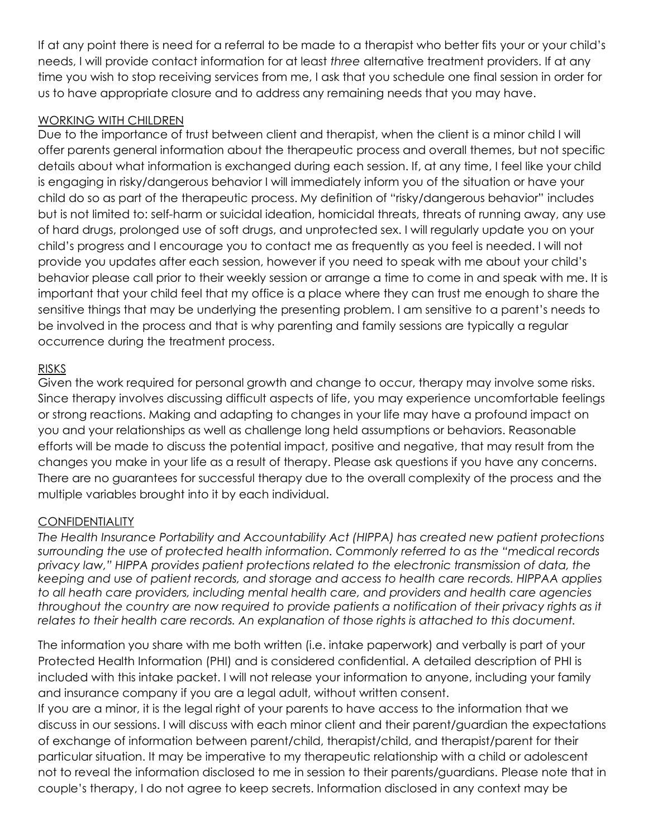If at any point there is need for a referral to be made to a therapist who better fits your or your child's needs, I will provide contact information for at least *three* alternative treatment providers. If at any time you wish to stop receiving services from me, I ask that you schedule one final session in order for us to have appropriate closure and to address any remaining needs that you may have.

# WORKING WITH CHILDREN

Due to the importance of trust between client and therapist, when the client is a minor child I will offer parents general information about the therapeutic process and overall themes, but not specific details about what information is exchanged during each session. If, at any time, I feel like your child is engaging in risky/dangerous behavior I will immediately inform you of the situation or have your child do so as part of the therapeutic process. My definition of "risky/dangerous behavior" includes but is not limited to: self-harm or suicidal ideation, homicidal threats, threats of running away, any use of hard drugs, prolonged use of soft drugs, and unprotected sex. I will regularly update you on your child's progress and I encourage you to contact me as frequently as you feel is needed. I will not provide you updates after each session, however if you need to speak with me about your child's behavior please call prior to their weekly session or arrange a time to come in and speak with me. It is important that your child feel that my office is a place where they can trust me enough to share the sensitive things that may be underlying the presenting problem. I am sensitive to a parent's needs to be involved in the process and that is why parenting and family sessions are typically a regular occurrence during the treatment process.

# RISKS

Given the work required for personal growth and change to occur, therapy may involve some risks. Since therapy involves discussing difficult aspects of life, you may experience uncomfortable feelings or strong reactions. Making and adapting to changes in your life may have a profound impact on you and your relationships as well as challenge long held assumptions or behaviors. Reasonable efforts will be made to discuss the potential impact, positive and negative, that may result from the changes you make in your life as a result of therapy. Please ask questions if you have any concerns. There are no guarantees for successful therapy due to the overall complexity of the process and the multiple variables brought into it by each individual.

# **CONFIDENTIALITY**

*The Health Insurance Portability and Accountability Act (HIPPA) has created new patient protections surrounding the use of protected health information. Commonly referred to as the "medical records privacy law," HIPPA provides patient protections related to the electronic transmission of data, the keeping and use of patient records, and storage and access to health care records. HIPPAA applies to all heath care providers, including mental health care, and providers and health care agencies throughout the country are now required to provide patients a notification of their privacy rights as it*  relates to their health care records. An explanation of those rights is attached to this document.

The information you share with me both written (i.e. intake paperwork) and verbally is part of your Protected Health Information (PHI) and is considered confidential. A detailed description of PHI is included with this intake packet. I will not release your information to anyone, including your family and insurance company if you are a legal adult, without written consent.

If you are a minor, it is the legal right of your parents to have access to the information that we discuss in our sessions. I will discuss with each minor client and their parent/guardian the expectations of exchange of information between parent/child, therapist/child, and therapist/parent for their particular situation. It may be imperative to my therapeutic relationship with a child or adolescent not to reveal the information disclosed to me in session to their parents/guardians. Please note that in couple's therapy, I do not agree to keep secrets. Information disclosed in any context may be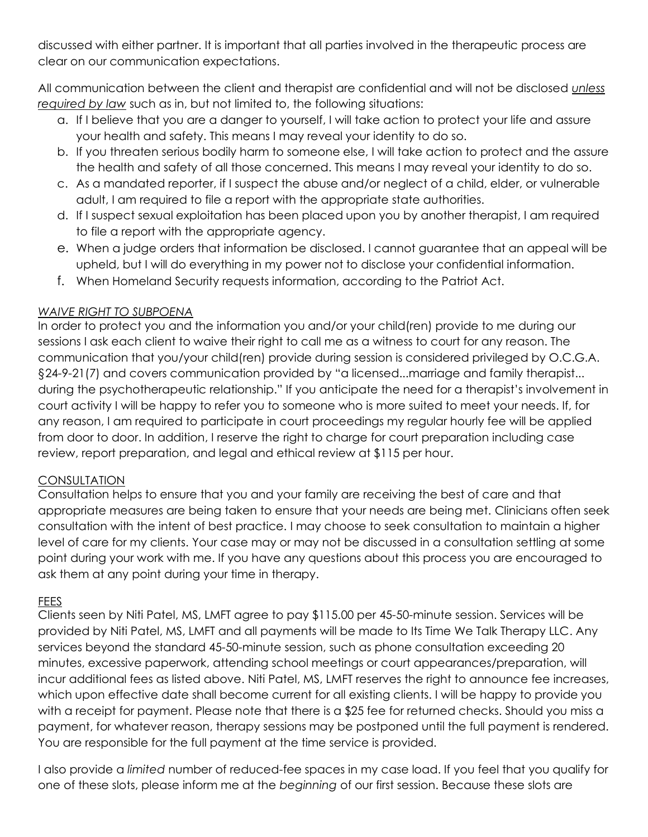discussed with either partner. It is important that all parties involved in the therapeutic process are clear on our communication expectations.

All communication between the client and therapist are confidential and will not be disclosed *unless required by law* such as in, but not limited to, the following situations:

- a. If I believe that you are a danger to yourself, I will take action to protect your life and assure your health and safety. This means I may reveal your identity to do so.
- b. If you threaten serious bodily harm to someone else, I will take action to protect and the assure the health and safety of all those concerned. This means I may reveal your identity to do so.
- c. As a mandated reporter, if I suspect the abuse and/or neglect of a child, elder, or vulnerable adult, I am required to file a report with the appropriate state authorities.
- d. If I suspect sexual exploitation has been placed upon you by another therapist, I am required to file a report with the appropriate agency.
- e. When a judge orders that information be disclosed. I cannot guarantee that an appeal will be upheld, but I will do everything in my power not to disclose your confidential information.
- f. When Homeland Security requests information, according to the Patriot Act.

# *WAIVE RIGHT TO SUBPOENA*

In order to protect you and the information you and/or your child(ren) provide to me during our sessions I ask each client to waive their right to call me as a witness to court for any reason. The communication that you/your child(ren) provide during session is considered privileged by O.C.G.A. §24-9-21(7) and covers communication provided by "a licensed...marriage and family therapist... during the psychotherapeutic relationship." If you anticipate the need for a therapist's involvement in court activity I will be happy to refer you to someone who is more suited to meet your needs. If, for any reason, I am required to participate in court proceedings my regular hourly fee will be applied from door to door. In addition, I reserve the right to charge for court preparation including case review, report preparation, and legal and ethical review at \$115 per hour.

# **CONSULTATION**

Consultation helps to ensure that you and your family are receiving the best of care and that appropriate measures are being taken to ensure that your needs are being met. Clinicians often seek consultation with the intent of best practice. I may choose to seek consultation to maintain a higher level of care for my clients. Your case may or may not be discussed in a consultation settling at some point during your work with me. If you have any questions about this process you are encouraged to ask them at any point during your time in therapy.

# FEES

Clients seen by Niti Patel, MS, LMFT agree to pay \$115.00 per 45-50-minute session. Services will be provided by Niti Patel, MS, LMFT and all payments will be made to Its Time We Talk Therapy LLC. Any services beyond the standard 45-50-minute session, such as phone consultation exceeding 20 minutes, excessive paperwork, attending school meetings or court appearances/preparation, will incur additional fees as listed above. Niti Patel, MS, LMFT reserves the right to announce fee increases, which upon effective date shall become current for all existing clients. I will be happy to provide you with a receipt for payment. Please note that there is a \$25 fee for returned checks. Should you miss a payment, for whatever reason, therapy sessions may be postponed until the full payment is rendered. You are responsible for the full payment at the time service is provided.

I also provide a *limited* number of reduced-fee spaces in my case load. If you feel that you qualify for one of these slots, please inform me at the *beginning* of our first session. Because these slots are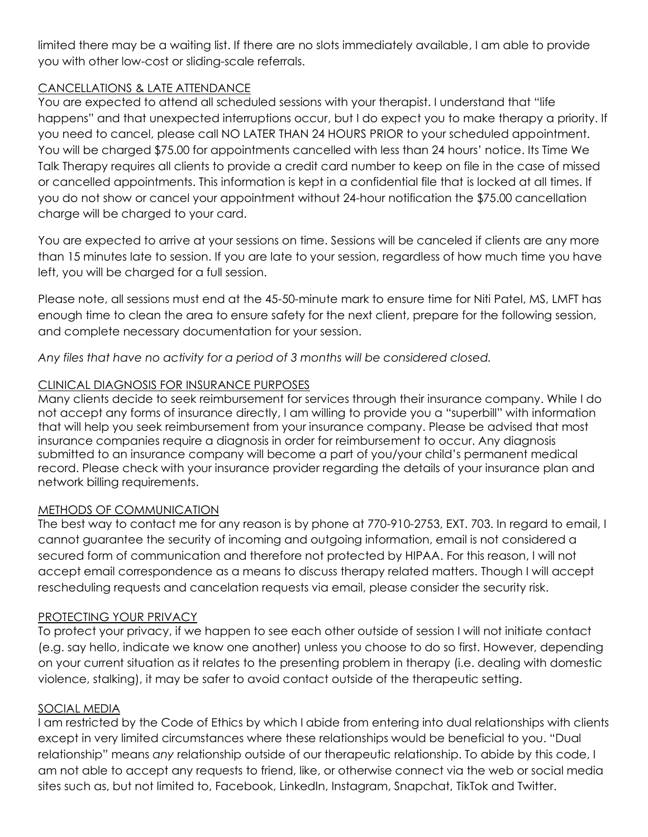limited there may be a waiting list. If there are no slots immediately available, I am able to provide you with other low-cost or sliding-scale referrals.

# CANCELLATIONS & LATE ATTENDANCE

You are expected to attend all scheduled sessions with your therapist. I understand that "life happens" and that unexpected interruptions occur, but I do expect you to make therapy a priority. If you need to cancel, please call NO LATER THAN 24 HOURS PRIOR to your scheduled appointment. You will be charged \$75.00 for appointments cancelled with less than 24 hours' notice. Its Time We Talk Therapy requires all clients to provide a credit card number to keep on file in the case of missed or cancelled appointments. This information is kept in a confidential file that is locked at all times. If you do not show or cancel your appointment without 24-hour notification the \$75.00 cancellation charge will be charged to your card.

You are expected to arrive at your sessions on time. Sessions will be canceled if clients are any more than 15 minutes late to session. If you are late to your session, regardless of how much time you have left, you will be charged for a full session.

Please note, all sessions must end at the 45-50-minute mark to ensure time for Niti Patel, MS, LMFT has enough time to clean the area to ensure safety for the next client, prepare for the following session, and complete necessary documentation for your session.

*Any files that have no activity for a period of 3 months will be considered closed.*

# CLINICAL DIAGNOSIS FOR INSURANCE PURPOSES

Many clients decide to seek reimbursement for services through their insurance company. While I do not accept any forms of insurance directly, I am willing to provide you a "superbill" with information that will help you seek reimbursement from your insurance company. Please be advised that most insurance companies require a diagnosis in order for reimbursement to occur. Any diagnosis submitted to an insurance company will become a part of you/your child's permanent medical record. Please check with your insurance provider regarding the details of your insurance plan and network billing requirements.

### METHODS OF COMMUNICATION

The best way to contact me for any reason is by phone at 770-910-2753, EXT. 703. In regard to email, I cannot guarantee the security of incoming and outgoing information, email is not considered a secured form of communication and therefore not protected by HIPAA. For this reason, I will not accept email correspondence as a means to discuss therapy related matters. Though I will accept rescheduling requests and cancelation requests via email, please consider the security risk.

### PROTECTING YOUR PRIVACY

To protect your privacy, if we happen to see each other outside of session I will not initiate contact (e.g. say hello, indicate we know one another) unless you choose to do so first. However, depending on your current situation as it relates to the presenting problem in therapy (i.e. dealing with domestic violence, stalking), it may be safer to avoid contact outside of the therapeutic setting.

### SOCIAL MEDIA

I am restricted by the Code of Ethics by which I abide from entering into dual relationships with clients except in very limited circumstances where these relationships would be beneficial to you. "Dual relationship" means *any* relationship outside of our therapeutic relationship. To abide by this code, I am not able to accept any requests to friend, like, or otherwise connect via the web or social media sites such as, but not limited to, Facebook, LinkedIn, Instagram, Snapchat, TikTok and Twitter.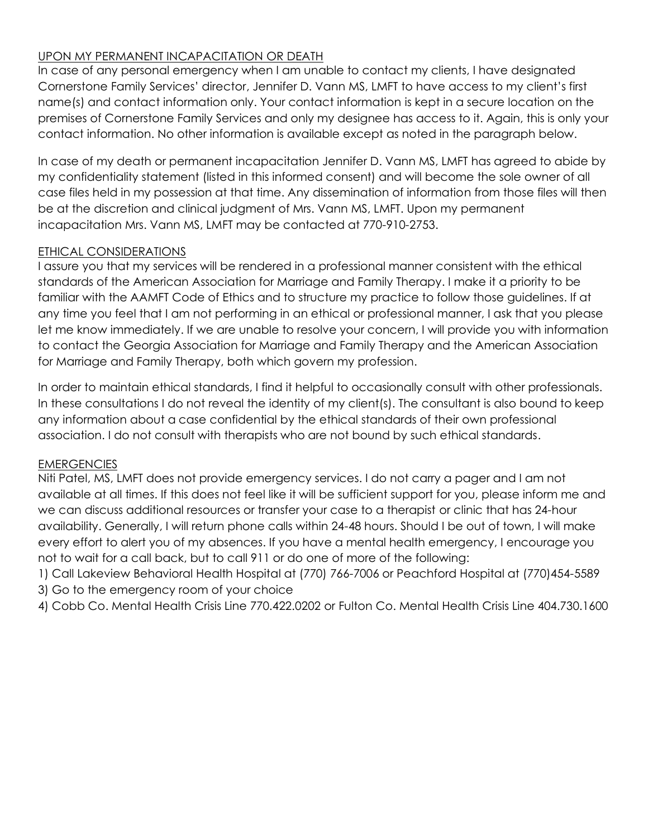# UPON MY PERMANENT INCAPACITATION OR DEATH

In case of any personal emergency when I am unable to contact my clients, I have designated Cornerstone Family Services' director, Jennifer D. Vann MS, LMFT to have access to my client's first name(s) and contact information only. Your contact information is kept in a secure location on the premises of Cornerstone Family Services and only my designee has access to it. Again, this is only your contact information. No other information is available except as noted in the paragraph below.

In case of my death or permanent incapacitation Jennifer D. Vann MS, LMFT has agreed to abide by my confidentiality statement (listed in this informed consent) and will become the sole owner of all case files held in my possession at that time. Any dissemination of information from those files will then be at the discretion and clinical judgment of Mrs. Vann MS, LMFT. Upon my permanent incapacitation Mrs. Vann MS, LMFT may be contacted at 770-910-2753.

# ETHICAL CONSIDERATIONS

I assure you that my services will be rendered in a professional manner consistent with the ethical standards of the American Association for Marriage and Family Therapy. I make it a priority to be familiar with the AAMFT Code of Ethics and to structure my practice to follow those guidelines. If at any time you feel that I am not performing in an ethical or professional manner, I ask that you please let me know immediately. If we are unable to resolve your concern, I will provide you with information to contact the Georgia Association for Marriage and Family Therapy and the American Association for Marriage and Family Therapy, both which govern my profession.

In order to maintain ethical standards, I find it helpful to occasionally consult with other professionals. In these consultations I do not reveal the identity of my client(s). The consultant is also bound to keep any information about a case confidential by the ethical standards of their own professional association. I do not consult with therapists who are not bound by such ethical standards.

### EMERGENCIES

Niti Patel, MS, LMFT does not provide emergency services. I do not carry a pager and I am not available at all times. If this does not feel like it will be sufficient support for you, please inform me and we can discuss additional resources or transfer your case to a therapist or clinic that has 24-hour availability. Generally, I will return phone calls within 24-48 hours. Should I be out of town, I will make every effort to alert you of my absences. If you have a mental health emergency, I encourage you not to wait for a call back, but to call 911 or do one of more of the following:

1) Call Lakeview Behavioral Health Hospital at (770) 766-7006 or Peachford Hospital at (770)454-5589 3) Go to the emergency room of your choice

4) Cobb Co. Mental Health Crisis Line 770.422.0202 or Fulton Co. Mental Health Crisis Line 404.730.1600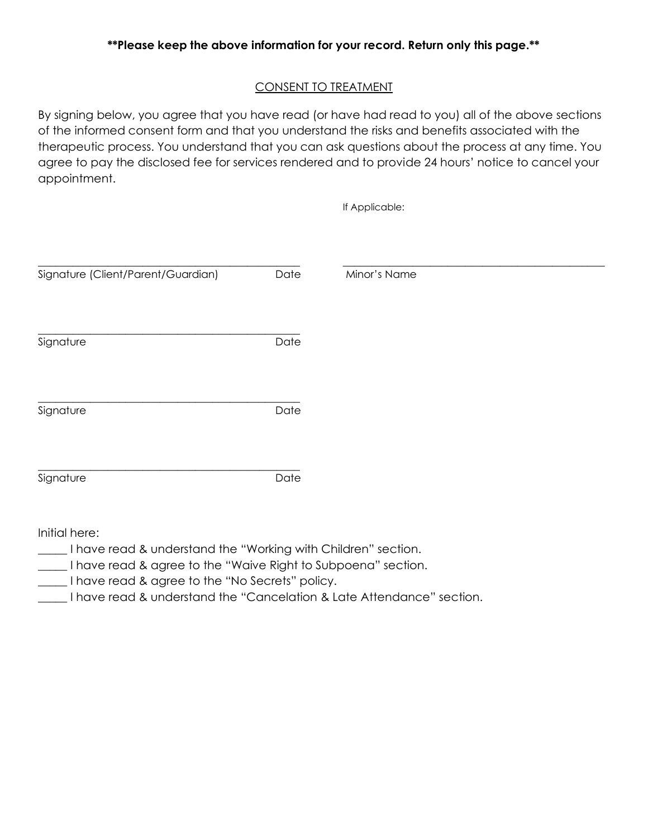## CONSENT TO TREATMENT

By signing below, you agree that you have read (or have had read to you) all of the above sections of the informed consent form and that you understand the risks and benefits associated with the therapeutic process. You understand that you can ask questions about the process at any time. You agree to pay the disclosed fee for services rendered and to provide 24 hours' notice to cancel your appointment.

|                                    |      | If Applicable: |  |
|------------------------------------|------|----------------|--|
| Signature (Client/Parent/Guardian) | Date | Minor's Name   |  |
|                                    |      |                |  |
| Signature                          | Date |                |  |
| Signature                          | Date |                |  |
| Signature                          | Date |                |  |

Initial here:

- \_\_\_\_\_ I have read & understand the "Working with Children" section.
- \_\_\_\_\_ I have read & agree to the "Waive Right to Subpoena" section.
- \_\_\_\_\_ I have read & agree to the "No Secrets" policy.
- \_\_\_\_\_ I have read & understand the "Cancelation & Late Attendance" section.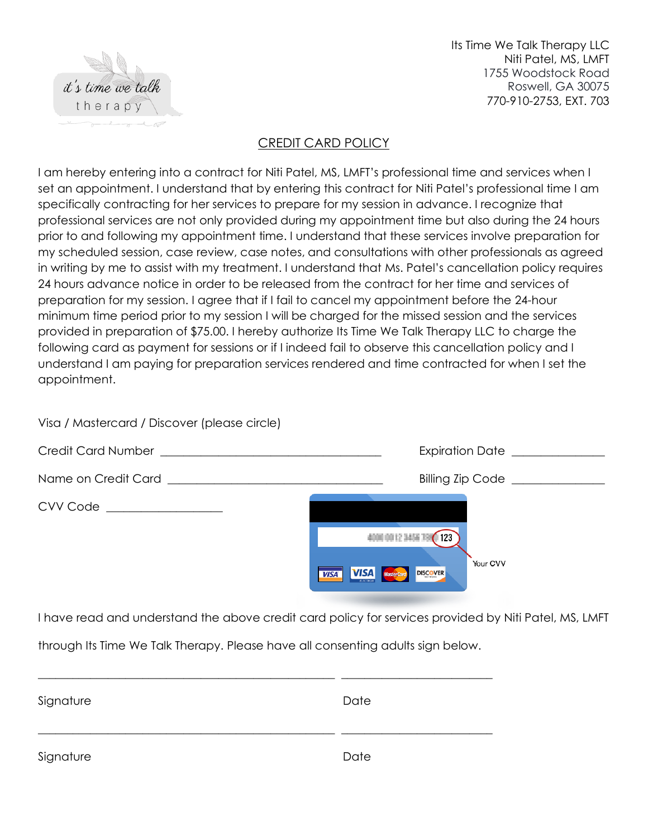

Visa / Mastercard / Discover (please circle)

Its Time We Talk Therapy LLC Niti Patel, MS, LMFT 1755 Woodstock Road Roswell, GA 30075 770-910-2753, EXT. 703

# CREDIT CARD POLICY

I am hereby entering into a contract for Niti Patel, MS, LMFT's professional time and services when I set an appointment. I understand that by entering this contract for Niti Patel's professional time I am specifically contracting for her services to prepare for my session in advance. I recognize that professional services are not only provided during my appointment time but also during the 24 hours prior to and following my appointment time. I understand that these services involve preparation for my scheduled session, case review, case notes, and consultations with other professionals as agreed in writing by me to assist with my treatment. I understand that Ms. Patel's cancellation policy requires 24 hours advance notice in order to be released from the contract for her time and services of preparation for my session. I agree that if I fail to cancel my appointment before the 24-hour minimum time period prior to my session I will be charged for the missed session and the services provided in preparation of \$75.00. I hereby authorize Its Time We Talk Therapy LLC to charge the following card as payment for sessions or if I indeed fail to observe this cancellation policy and I understand I am paying for preparation services rendered and time contracted for when I set the appointment.

|                            | Billing Zip Code _______________                                     |
|----------------------------|----------------------------------------------------------------------|
| $CVV Code$ $\qquad \qquad$ | Your CVV<br><b>VISA</b> MasterCard<br><b>DISCOVER</b><br><b>VISA</b> |

I have read and understand the above credit card policy for services provided by Niti Patel, MS, LMFT

through Its Time We Talk Therapy. Please have all consenting adults sign below.

| Signature | Date |
|-----------|------|
| Signature | Date |

\_\_\_\_\_\_\_\_\_\_\_\_\_\_\_\_\_\_\_\_\_\_\_\_\_\_\_\_\_\_\_\_\_\_\_\_\_\_\_\_\_\_\_\_\_\_\_\_\_\_\_ \_\_\_\_\_\_\_\_\_\_\_\_\_\_\_\_\_\_\_\_\_\_\_\_\_\_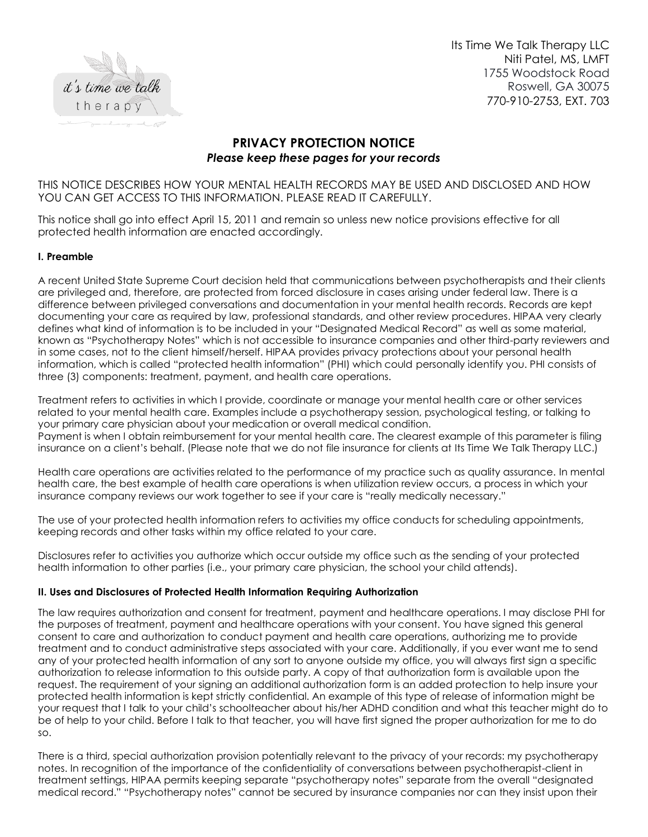

Its Time We Talk Therapy LLC Niti Patel, MS, LMFT 1755 Woodstock Road Roswell, GA 30075 770-910-2753, EXT. 703

### **PRIVACY PROTECTION NOTICE** *Please keep these pages for your records*

THIS NOTICE DESCRIBES HOW YOUR MENTAL HEALTH RECORDS MAY BE USED AND DISCLOSED AND HOW YOU CAN GET ACCESS TO THIS INFORMATION. PLEASE READ IT CAREFULLY.

This notice shall go into effect April 15, 2011 and remain so unless new notice provisions effective for all protected health information are enacted accordingly.

#### **I. Preamble**

A recent United State Supreme Court decision held that communications between psychotherapists and their clients are privileged and, therefore, are protected from forced disclosure in cases arising under federal law. There is a difference between privileged conversations and documentation in your mental health records. Records are kept documenting your care as required by law, professional standards, and other review procedures. HIPAA very clearly defines what kind of information is to be included in your "Designated Medical Record" as well as some material, known as "Psychotherapy Notes" which is not accessible to insurance companies and other third-party reviewers and in some cases, not to the client himself/herself. HIPAA provides privacy protections about your personal health information, which is called "protected health information" (PHI) which could personally identify you. PHI consists of three (3) components: treatment, payment, and health care operations.

Treatment refers to activities in which I provide, coordinate or manage your mental health care or other services related to your mental health care. Examples include a psychotherapy session, psychological testing, or talking to your primary care physician about your medication or overall medical condition. Payment is when I obtain reimbursement for your mental health care. The clearest example of this parameter is filing insurance on a client's behalf. (Please note that we do not file insurance for clients at Its Time We Talk Therapy LLC.)

Health care operations are activities related to the performance of my practice such as quality assurance. In mental health care, the best example of health care operations is when utilization review occurs, a process in which your insurance company reviews our work together to see if your care is "really medically necessary."

The use of your protected health information refers to activities my office conducts for scheduling appointments, keeping records and other tasks within my office related to your care.

Disclosures refer to activities you authorize which occur outside my office such as the sending of your protected health information to other parties (i.e., your primary care physician, the school your child attends).

#### **II. Uses and Disclosures of Protected Health Information Requiring Authorization**

The law requires authorization and consent for treatment, payment and healthcare operations. I may disclose PHI for the purposes of treatment, payment and healthcare operations with your consent. You have signed this general consent to care and authorization to conduct payment and health care operations, authorizing me to provide treatment and to conduct administrative steps associated with your care. Additionally, if you ever want me to send any of your protected health information of any sort to anyone outside my office, you will always first sign a specific authorization to release information to this outside party. A copy of that authorization form is available upon the request. The requirement of your signing an additional authorization form is an added protection to help insure your protected health information is kept strictly confidential. An example of this type of release of information might be your request that I talk to your child's schoolteacher about his/her ADHD condition and what this teacher might do to be of help to your child. Before I talk to that teacher, you will have first signed the proper authorization for me to do so.

There is a third, special authorization provision potentially relevant to the privacy of your records: my psychotherapy notes. In recognition of the importance of the confidentiality of conversations between psychotherapist-client in treatment settings, HIPAA permits keeping separate "psychotherapy notes" separate from the overall "designated medical record." "Psychotherapy notes" cannot be secured by insurance companies nor can they insist upon their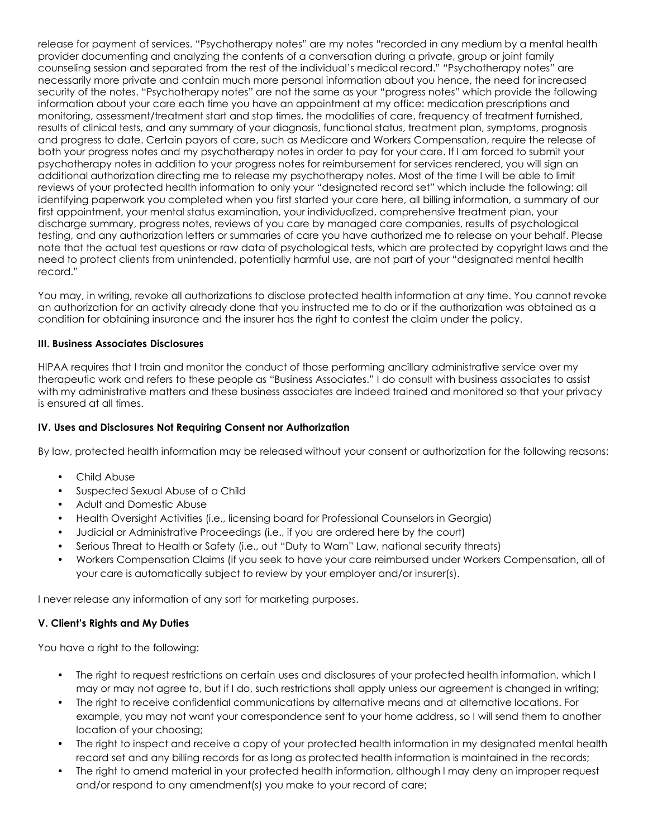release for payment of services. "Psychotherapy notes" are my notes "recorded in any medium by a mental health provider documenting and analyzing the contents of a conversation during a private, group or joint family counseling session and separated from the rest of the individual's medical record." "Psychotherapy notes" are necessarily more private and contain much more personal information about you hence, the need for increased security of the notes. "Psychotherapy notes" are not the same as your "progress notes" which provide the following information about your care each time you have an appointment at my office: medication prescriptions and monitoring, assessment/treatment start and stop times, the modalities of care, frequency of treatment furnished, results of clinical tests, and any summary of your diagnosis, functional status, treatment plan, symptoms, prognosis and progress to date. Certain payors of care, such as Medicare and Workers Compensation, require the release of both your progress notes and my psychotherapy notes in order to pay for your care. If I am forced to submit your psychotherapy notes in addition to your progress notes for reimbursement for services rendered, you will sign an additional authorization directing me to release my psychotherapy notes. Most of the time I will be able to limit reviews of your protected health information to only your "designated record set" which include the following: all identifying paperwork you completed when you first started your care here, all billing information, a summary of our first appointment, your mental status examination, your individualized, comprehensive treatment plan, your discharge summary, progress notes, reviews of you care by managed care companies, results of psychological testing, and any authorization letters or summaries of care you have authorized me to release on your behalf. Please note that the actual test questions or raw data of psychological tests, which are protected by copyright laws and the need to protect clients from unintended, potentially harmful use, are not part of your "designated mental health record."

You may, in writing, revoke all authorizations to disclose protected health information at any time. You cannot revoke an authorization for an activity already done that you instructed me to do or if the authorization was obtained as a condition for obtaining insurance and the insurer has the right to contest the claim under the policy.

#### **III. Business Associates Disclosures**

HIPAA requires that I train and monitor the conduct of those performing ancillary administrative service over my therapeutic work and refers to these people as "Business Associates." I do consult with business associates to assist with my administrative matters and these business associates are indeed trained and monitored so that your privacy is ensured at all times.

#### **IV. Uses and Disclosures Not Requiring Consent nor Authorization**

By law, protected health information may be released without your consent or authorization for the following reasons:

- Child Abuse
- Suspected Sexual Abuse of a Child
- Adult and Domestic Abuse
- Health Oversight Activities (i.e., licensing board for Professional Counselors in Georgia)
- Judicial or Administrative Proceedings (i.e., if you are ordered here by the court)
- Serious Threat to Health or Safety (i.e., out "Duty to Warn" Law, national security threats)
- Workers Compensation Claims (if you seek to have your care reimbursed under Workers Compensation, all of your care is automatically subject to review by your employer and/or insurer(s).

I never release any information of any sort for marketing purposes.

#### **V. Client's Rights and My Duties**

You have a right to the following:

- The right to request restrictions on certain uses and disclosures of your protected health information, which I may or may not agree to, but if I do, such restrictions shall apply unless our agreement is changed in writing;
- The right to receive confidential communications by alternative means and at alternative locations. For example, you may not want your correspondence sent to your home address, so I will send them to another location of your choosing;
- The right to inspect and receive a copy of your protected health information in my designated mental health record set and any billing records for as long as protected health information is maintained in the records;
- The right to amend material in your protected health information, although I may deny an improper request and/or respond to any amendment(s) you make to your record of care;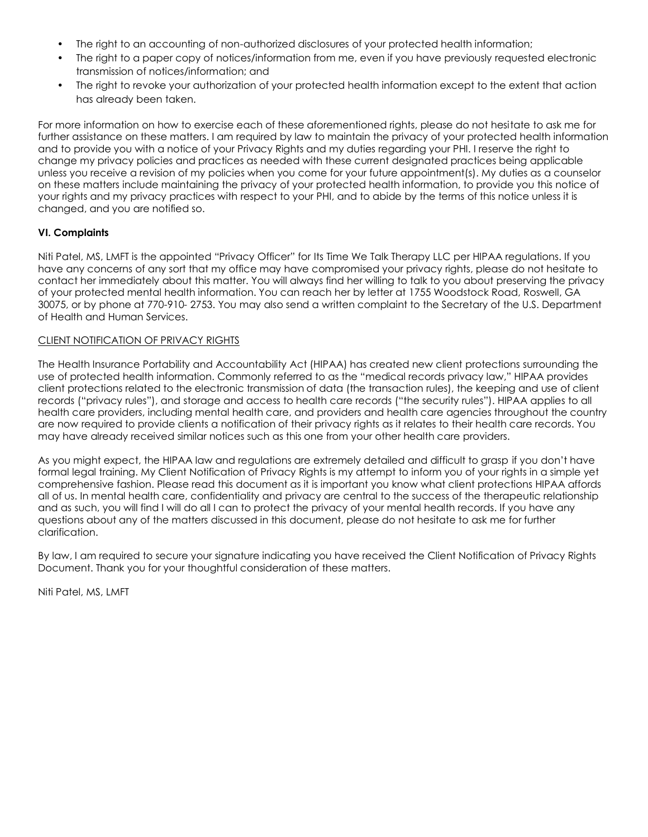- The right to an accounting of non-authorized disclosures of your protected health information;
- The right to a paper copy of notices/information from me, even if you have previously requested electronic transmission of notices/information; and
- The right to revoke your authorization of your protected health information except to the extent that action has already been taken.

For more information on how to exercise each of these aforementioned rights, please do not hesitate to ask me for further assistance on these matters. I am required by law to maintain the privacy of your protected health information and to provide you with a notice of your Privacy Rights and my duties regarding your PHI. I reserve the right to change my privacy policies and practices as needed with these current designated practices being applicable unless you receive a revision of my policies when you come for your future appointment(s). My duties as a counselor on these matters include maintaining the privacy of your protected health information, to provide you this notice of your rights and my privacy practices with respect to your PHI, and to abide by the terms of this notice unless it is changed, and you are notified so.

#### **VI. Complaints**

Niti Patel, MS, LMFT is the appointed "Privacy Officer" for Its Time We Talk Therapy LLC per HIPAA regulations. If you have any concerns of any sort that my office may have compromised your privacy rights, please do not hesitate to contact her immediately about this matter. You will always find her willing to talk to you about preserving the privacy of your protected mental health information. You can reach her by letter at 1755 Woodstock Road, Roswell, GA 30075, or by phone at 770-910- 2753. You may also send a written complaint to the Secretary of the U.S. Department of Health and Human Services.

#### CLIENT NOTIFICATION OF PRIVACY RIGHTS

The Health Insurance Portability and Accountability Act (HIPAA) has created new client protections surrounding the use of protected health information. Commonly referred to as the "medical records privacy law," HIPAA provides client protections related to the electronic transmission of data (the transaction rules), the keeping and use of client records ("privacy rules"), and storage and access to health care records ("the security rules"). HIPAA applies to all health care providers, including mental health care, and providers and health care agencies throughout the country are now required to provide clients a notification of their privacy rights as it relates to their health care records. You may have already received similar notices such as this one from your other health care providers.

As you might expect, the HIPAA law and regulations are extremely detailed and difficult to grasp if you don't have formal legal training. My Client Notification of Privacy Rights is my attempt to inform you of your rights in a simple yet comprehensive fashion. Please read this document as it is important you know what client protections HIPAA affords all of us. In mental health care, confidentiality and privacy are central to the success of the therapeutic relationship and as such, you will find I will do all I can to protect the privacy of your mental health records. If you have any questions about any of the matters discussed in this document, please do not hesitate to ask me for further clarification.

By law, I am required to secure your signature indicating you have received the Client Notification of Privacy Rights Document. Thank you for your thoughtful consideration of these matters.

Niti Patel, MS, LMFT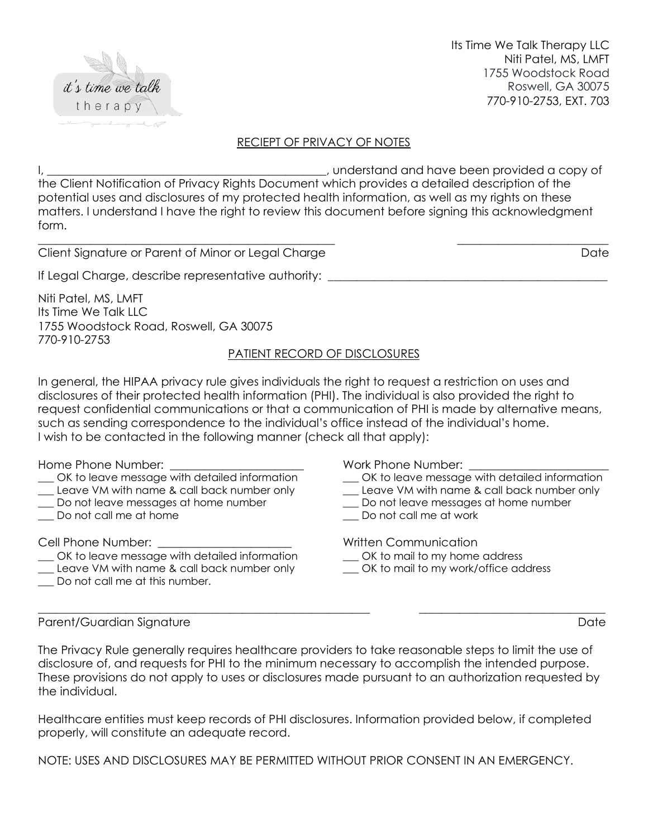

Its Time We Talk Therapy LLC Niti Patel, MS, LMFT 1755 Woodstock Road Roswell, GA 30075 770-910-2753, EXT. 703

#### RECIEPT OF PRIVACY OF NOTES

I, \_\_\_\_\_\_\_\_\_\_\_\_\_\_\_\_\_\_\_\_\_\_\_\_\_\_\_\_\_\_\_\_\_\_\_\_\_\_\_\_\_\_\_\_\_\_\_\_, understand and have been provided a copy of the Client Notification of Privacy Rights Document which provides a detailed description of the potential uses and disclosures of my protected health information, as well as my rights on these matters. I understand I have the right to review this document before signing this acknowledgment form.

\_\_\_\_\_\_\_\_\_\_\_\_\_\_\_\_\_\_\_\_\_\_\_\_\_\_\_\_\_\_\_\_\_\_\_\_\_\_\_\_\_\_\_\_\_\_\_\_\_\_\_ \_\_\_\_\_\_\_\_\_\_\_\_\_\_\_\_\_\_\_\_\_\_\_\_\_\_

Client Signature or Parent of Minor or Legal Charge Client Charge Date

If Legal Charge, describe representative authority:

Niti Patel, MS, LMFT Its Time We Talk LLC 1755 Woodstock Road, Roswell, GA 30075 770-910-2753

#### PATIENT RECORD OF DISCLOSURES

In general, the HIPAA privacy rule gives individuals the right to request a restriction on uses and disclosures of their protected health information (PHI). The individual is also provided the right to request confidential communications or that a communication of PHI is made by alternative means, such as sending correspondence to the individual's office instead of the individual's home. I wish to be contacted in the following manner (check all that apply):

Home Phone Number:

- \_\_\_ OK to leave message with detailed information
- \_\_\_ Leave VM with name & call back number only
- \_\_\_ Do not leave messages at home number
- Do not call me at home

Cell Phone Number:

- OK to leave message with detailed information
- \_\_\_ Leave VM with name & call back number only
- Do not call me at this number.

Work Phone Number:

- \_\_\_ OK to leave message with detailed information
- \_\_\_ Leave VM with name & call back number only
- \_\_\_ Do not leave messages at home number
- Do not call me at work

Written Communication

- \_\_\_ OK to mail to my home address
- OK to mail to my work/office address

Parent/Guardian Signature Date Date Date Date Date Date

The Privacy Rule generally requires healthcare providers to take reasonable steps to limit the use of disclosure of, and requests for PHI to the minimum necessary to accomplish the intended purpose. These provisions do not apply to uses or disclosures made pursuant to an authorization requested by the individual.

 $\_$  , and the set of the set of the set of the set of the set of the set of the set of the set of the set of the set of the set of the set of the set of the set of the set of the set of the set of the set of the set of th

Healthcare entities must keep records of PHI disclosures. Information provided below, if completed properly, will constitute an adequate record.

NOTE: USES AND DISCLOSURES MAY BE PERMITTED WITHOUT PRIOR CONSENT IN AN EMERGENCY.